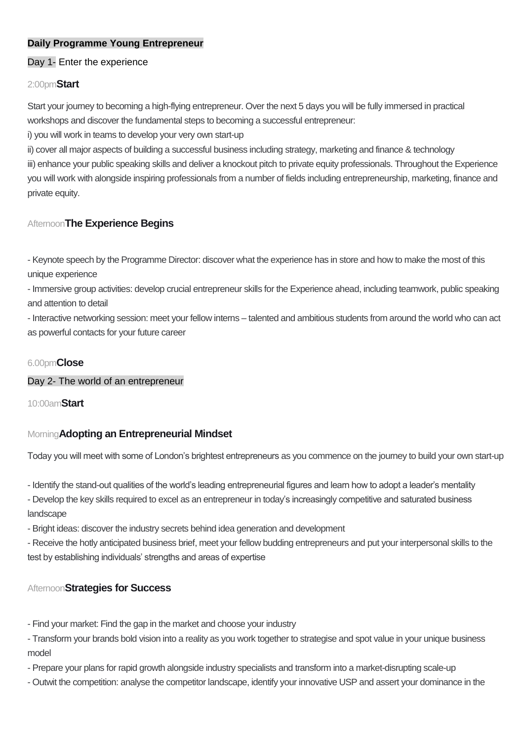## **Daily Programme Young Entrepreneur**

## Day 1- Enter the experience

## 2:00pm**Start**

Start your journey to becoming a high-flying entrepreneur. Over the next 5 days you will be fully immersed in practical workshops and discover the fundamental steps to becoming a successful entrepreneur:

i) you will work in teams to develop your very own start-up

ii) cover all major aspects of building a successful business including strategy, marketing and finance & technology

iii) enhance your public speaking skills and deliver a knockout pitch to private equity professionals. Throughout the Experience you will work with alongside inspiring professionals from a number of fields including entrepreneurship, marketing, finance and private equity.

# Afternoon**The Experience Begins**

- Keynote speech by the Programme Director: discover what the experience has in store and how to make the most of this unique experience

- Immersive group activities: develop crucial entrepreneur skills for the Experience ahead, including teamwork, public speaking and attention to detail

- Interactive networking session: meet your fellow interns – talented and ambitious students from around the world who can act as powerful contacts for your future career

## 6.00pm**Close**

### Day 2- The world of an entrepreneur

10:00am**Start**

### Morning**Adopting an Entrepreneurial Mindset**

Today you will meet with some of London's brightest entrepreneurs as you commence on the journey to build your own start-up

- Identify the stand-out qualities of the world's leading entrepreneurial figures and learn how to adopt a leader's mentality

- Develop the key skills required to excel as an entrepreneur in today's increasingly competitive and saturated business landscape

- Bright ideas: discover the industry secrets behind idea generation and development

- Receive the hotly anticipated business brief, meet your fellow budding entrepreneurs and put your interpersonal skills to the test by establishing individuals' strengths and areas of expertise

### Afternoon**Strategies for Success**

- Find your market: Find the gap in the market and choose your industry

- Transform your brands bold vision into a reality as you work together to strategise and spot value in your unique business model

- Prepare your plans for rapid growth alongside industry specialists and transform into a market-disrupting scale-up

- Outwit the competition: analyse the competitor landscape, identify your innovative USP and assert your dominance in the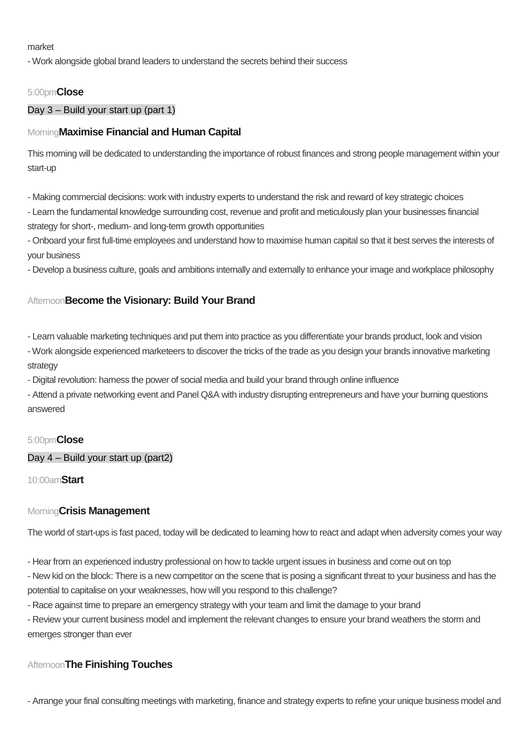market

- Work alongside global brand leaders to understand the secrets behind their success

## 5:00pm**Close**

### Day 3 – Build your start up (part 1)

# Morning**Maximise Financial and Human Capital**

This morning will be dedicated to understanding the importance of robust finances and strong people management within your start-up

- Making commercial decisions: work with industry experts to understand the risk and reward of key strategic choices

- Learn the fundamental knowledge surrounding cost, revenue and profit and meticulously plan your businesses financial strategy for short-, medium- and long-term growth opportunities

- Onboard your first full-time employees and understand how to maximise human capital so that it best serves the interests of your business

- Develop a business culture, goals and ambitions internally and externally to enhance your image and workplace philosophy

## Afternoon**Become the Visionary: Build Your Brand**

- Learn valuable marketing techniques and put them into practice as you differentiate your brands product, look and vision

- Work alongside experienced marketeers to discover the tricks of the trade as you design your brands innovative marketing strategy

- Digital revolution: harness the power of social media and build your brand through online influence

- Attend a private networking event and Panel Q&A with industry disrupting entrepreneurs and have your burning questions answered

### 5:00pm**Close**

### Day 4 – Build your start up (part2)

10:00am**Start**

### Morning**Crisis Management**

The world of start-ups is fast paced, today will be dedicated to learning how to react and adapt when adversity comes your way

- Hear from an experienced industry professional on how to tackle urgent issues in business and come out on top

- New kid on the block: There is a new competitor on the scene that is posing a significant threat to your business and has the potential to capitalise on your weaknesses, how will you respond to this challenge?

- Race against time to prepare an emergency strategy with your team and limit the damage to your brand

- Review your current business model and implement the relevant changes to ensure your brand weathers the storm and emerges stronger than ever

### Afternoon**The Finishing Touches**

- Arrange your final consulting meetings with marketing, finance and strategy experts to refine your unique business model and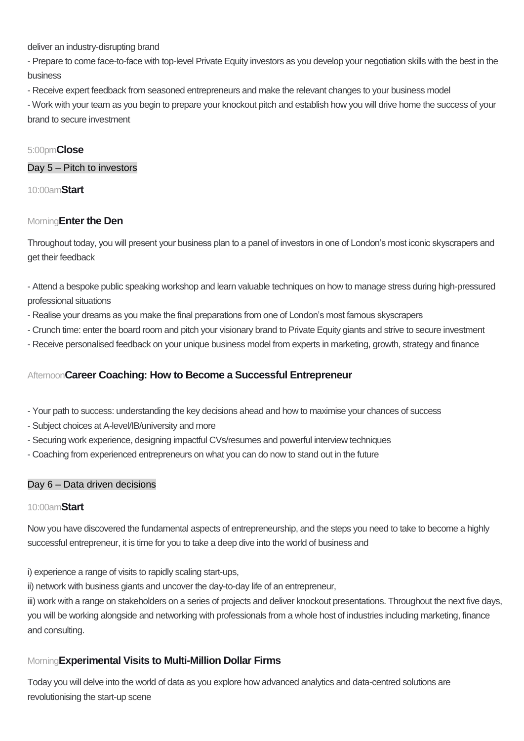deliver an industry-disrupting brand

- Prepare to come face-to-face with top-level Private Equity investors as you develop your negotiation skills with the best in the business

- Receive expert feedback from seasoned entrepreneurs and make the relevant changes to your business model

- Work with your team as you begin to prepare your knockout pitch and establish how you will drive home the success of your brand to secure investment

## 5:00pm**Close**

Day 5 – Pitch to investors

10:00am**Start**

### Morning**Enter the Den**

Throughout today, you will present your business plan to a panel of investors in one of London's most iconic skyscrapers and get their feedback

- Attend a bespoke public speaking workshop and learn valuable techniques on how to manage stress during high-pressured professional situations

- Realise your dreams as you make the final preparations from one of London's most famous skyscrapers
- Crunch time: enter the board room and pitch your visionary brand to Private Equity giants and strive to secure investment
- Receive personalised feedback on your unique business model from experts in marketing, growth, strategy and finance

## Afternoon**Career Coaching: How to Become a Successful Entrepreneur**

- Your path to success: understanding the key decisions ahead and how to maximise your chances of success
- Subject choices at A-level/IB/university and more
- Securing work experience, designing impactful CVs/resumes and powerful interview techniques
- Coaching from experienced entrepreneurs on what you can do now to stand out in the future

### Day 6 – Data driven decisions

### 10:00am**Start**

Now you have discovered the fundamental aspects of entrepreneurship, and the steps you need to take to become a highly successful entrepreneur, it is time for you to take a deep dive into the world of business and

i) experience a range of visits to rapidly scaling start-ups,

ii) network with business giants and uncover the day-to-day life of an entrepreneur,

iii) work with a range on stakeholders on a series of projects and deliver knockout presentations. Throughout the next five days, you will be working alongside and networking with professionals from a whole host of industries including marketing, finance and consulting.

# Morning**Experimental Visits to Multi-Million Dollar Firms**

Today you will delve into the world of data as you explore how advanced analytics and data-centred solutions are revolutionising the start-up scene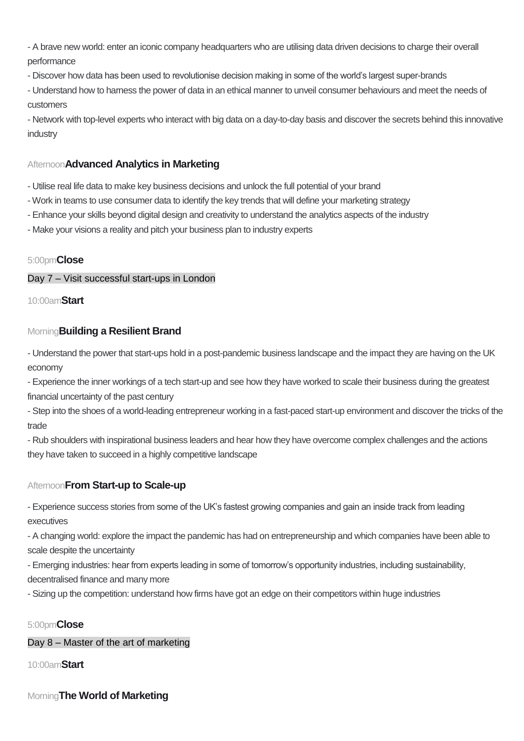- A brave new world: enter an iconic company headquarters who are utilising data driven decisions to charge their overall performance

- Discover how data has been used to revolutionise decision making in some of the world's largest super-brands

- Understand how to harness the power of data in an ethical manner to unveil consumer behaviours and meet the needs of customers

- Network with top-level experts who interact with big data on a day-to-day basis and discover the secrets behind this innovative industry

# Afternoon**Advanced Analytics in Marketing**

- Utilise real life data to make key business decisions and unlock the full potential of your brand

- Work in teams to use consumer data to identify the key trends that will define your marketing strategy
- Enhance your skills beyond digital design and creativity to understand the analytics aspects of the industry
- Make your visions a reality and pitch your business plan to industry experts

### 5:00pm**Close**

Day 7 – Visit successful start-ups in London

10:00am**Start**

## Morning**Building a Resilient Brand**

- Understand the power that start-ups hold in a post-pandemic business landscape and the impact they are having on the UK economy

- Experience the inner workings of a tech start-up and see how they have worked to scale their business during the greatest financial uncertainty of the past century

- Step into the shoes of a world-leading entrepreneur working in a fast-paced start-up environment and discover the tricks of the trade

- Rub shoulders with inspirational business leaders and hear how they have overcome complex challenges and the actions they have taken to succeed in a highly competitive landscape

# Afternoon**From Start-up to Scale-up**

- Experience success stories from some of the UK's fastest growing companies and gain an inside track from leading executives

- A changing world: explore the impact the pandemic has had on entrepreneurship and which companies have been able to scale despite the uncertainty

- Emerging industries: hear from experts leading in some of tomorrow's opportunity industries, including sustainability, decentralised finance and many more

- Sizing up the competition: understand how firms have got an edge on their competitors within huge industries

# 5:00pm**Close**

Day 8 – Master of the art of marketing

10:00am**Start**

### Morning**The World of Marketing**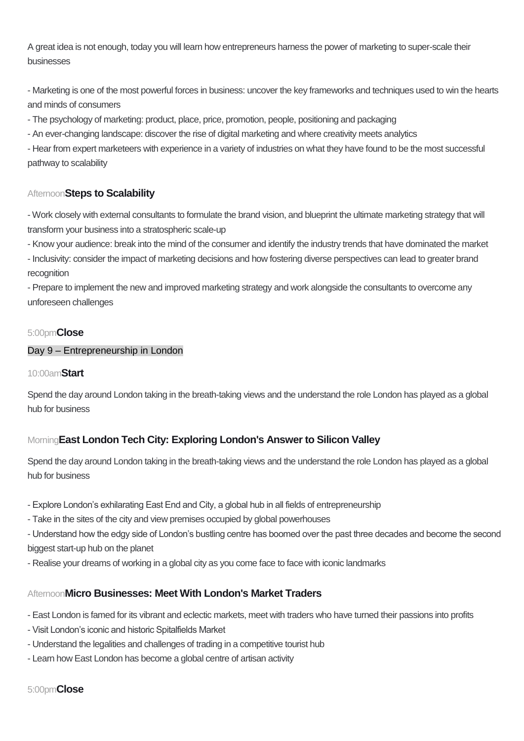A great idea is not enough, today you will learn how entrepreneurs harness the power of marketing to super-scale their businesses

- Marketing is one of the most powerful forces in business: uncover the key frameworks and techniques used to win the hearts and minds of consumers

- The psychology of marketing: product, place, price, promotion, people, positioning and packaging

- An ever-changing landscape: discover the rise of digital marketing and where creativity meets analytics

- Hear from expert marketeers with experience in a variety of industries on what they have found to be the most successful pathway to scalability

# Afternoon**Steps to Scalability**

- Work closely with external consultants to formulate the brand vision, and blueprint the ultimate marketing strategy that will transform your business into a stratospheric scale-up

- Know your audience: break into the mind of the consumer and identify the industry trends that have dominated the market

- Inclusivity: consider the impact of marketing decisions and how fostering diverse perspectives can lead to greater brand recognition

- Prepare to implement the new and improved marketing strategy and work alongside the consultants to overcome any unforeseen challenges

## 5:00pm**Close**

### Day 9 – Entrepreneurship in London

### 10:00am**Start**

Spend the day around London taking in the breath-taking views and the understand the role London has played as a global hub for business

# Morning**East London Tech City: Exploring London's Answer to Silicon Valley**

Spend the day around London taking in the breath-taking views and the understand the role London has played as a global hub for business

- Explore London's exhilarating East End and City, a global hub in all fields of entrepreneurship
- Take in the sites of the city and view premises occupied by global powerhouses

- Understand how the edgy side of London's bustling centre has boomed over the past three decades and become the second biggest start-up hub on the planet

- Realise your dreams of working in a global city as you come face to face with iconic landmarks

# Afternoon**Micro Businesses: Meet With London's Market Traders**

- East London is famed for its vibrant and eclectic markets, meet with traders who have turned their passions into profits

- Visit London's iconic and historic Spitalfields Market
- Understand the legalities and challenges of trading in a competitive tourist hub
- Learn how East London has become a global centre of artisan activity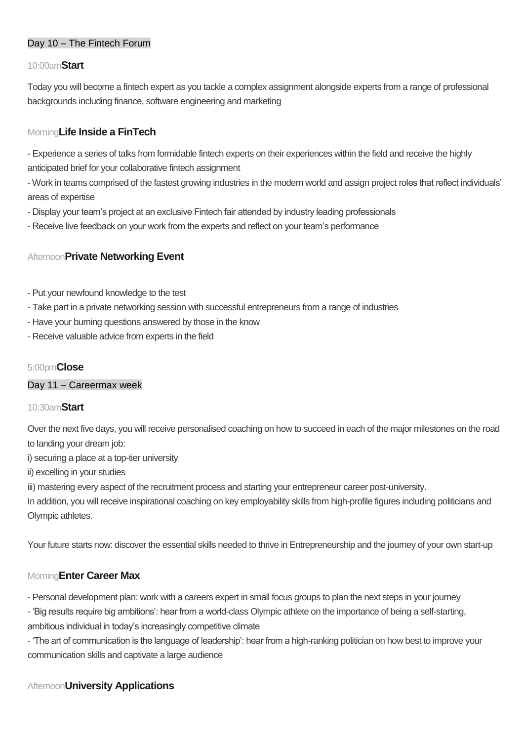## Day 10 – The Fintech Forum

#### 10:00am**Start**

Today you will become a fintech expert as you tackle a complex assignment alongside experts from a range of professional backgrounds including finance, software engineering and marketing

## Morning**Life Inside a FinTech**

- Experience a series of talks from formidable fintech experts on their experiences within the field and receive the highly anticipated brief for your collaborative fintech assignment

- Work in teams comprised of the fastest growing industries in the modern world and assign project roles that reflect individuals' areas of expertise

- Display your team's project at an exclusive Fintech fair attended by industry leading professionals
- Receive live feedback on your work from the experts and reflect on your team's performance

## Afternoon**Private Networking Event**

- Put your newfound knowledge to the test
- Take part in a private networking session with successful entrepreneurs from a range of industries
- Have your burning questions answered by those in the know
- Receive valuable advice from experts in the field

### 5:00pm**Close**

#### Day 11 – Careermax week

#### 10:30am**Start**

Over the next five days, you will receive personalised coaching on how to succeed in each of the major milestones on the road to landing your dream job:

i) securing a place at a top-tier university

ii) excelling in your studies

iii) mastering every aspect of the recruitment process and starting your entrepreneur career post-university.

In addition, you will receive inspirational coaching on key employability skills from high-profile figures including politicians and Olympic athletes.

Your future starts now: discover the essential skills needed to thrive in Entrepreneurship and the journey of your own start-up

### Morning**Enter Career Max**

- Personal development plan: work with a careers expert in small focus groups to plan the next steps in your journey
- 'Big results require big ambitions': hear from a world-class Olympic athlete on the importance of being a self-starting, ambitious individual in today's increasingly competitive climate

- 'The art of communication is the language of leadership': hear from a high-ranking politician on how best to improve your communication skills and captivate a large audience

# Afternoon**University Applications**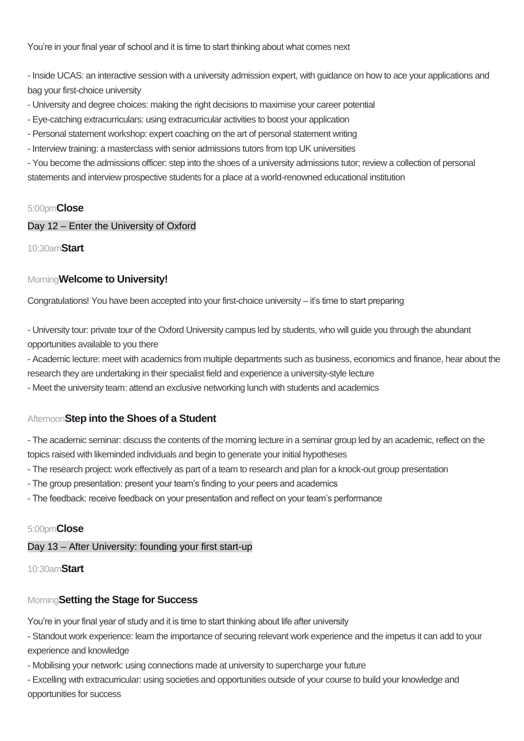You're in your final year of school and it is time to start thinking about what comes next

- Inside UCAS: an interactive session with a university admission expert, with guidance on how to ace your applications and bag your first-choice university

- University and degree choices: making the right decisions to maximise your career potential
- Eye-catching extracurriculars: using extracurricular activities to boost your application
- Personal statement workshop: expert coaching on the art of personal statement writing
- Interview training: a masterclass with senior admissions tutors from top UK universities

- You become the admissions officer: step into the shoes of a university admissions tutor; review a collection of personal statements and interview prospective students for a place at a world-renowned educational institution

#### 5:00pm**Close**

### Day 12 – Enter the University of Oxford

10:30am**Start**

#### Morning**Welcome to University!**

Congratulations! You have been accepted into your first-choice university – it's time to start preparing

- University tour: private tour of the Oxford University campus led by students, who will guide you through the abundant opportunities available to you there

- Academic lecture: meet with academics from multiple departments such as business, economics and finance, hear about the research they are undertaking in their specialist field and experience a university-style lecture

- Meet the university team: attend an exclusive networking lunch with students and academics

### Afternoon**Step into the Shoes of a Student**

- The academic seminar: discuss the contents of the morning lecture in a seminar group led by an academic, reflect on the topics raised with likeminded individuals and begin to generate your initial hypotheses

- The research project: work effectively as part of a team to research and plan for a knock-out group presentation
- The group presentation: present your team's finding to your peers and academics
- The feedback: receive feedback on your presentation and reflect on your team's performance

#### 5:00pm**Close**

#### Day 13 – After University: founding your first start-up

#### 10:30am**Start**

#### Morning**Setting the Stage for Success**

You're in your final year of study and it is time to start thinking about life after university

- Standout work experience: learn the importance of securing relevant work experience and the impetus it can add to your experience and knowledge

- Mobilising your network: using connections made at university to supercharge your future

- Excelling with extracurricular: using societies and opportunities outside of your course to build your knowledge and opportunities for success